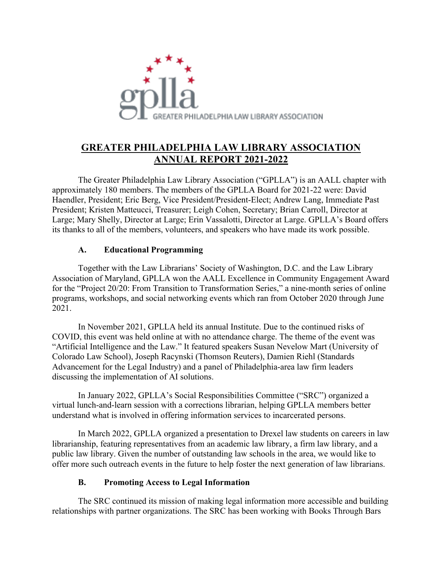

## **GREATER PHILADELPHIA LAW LIBRARY ASSOCIATION ANNUAL REPORT 2021-2022**

The Greater Philadelphia Law Library Association ("GPLLA") is an AALL chapter with approximately 180 members. The members of the GPLLA Board for 2021-22 were: David Haendler, President; Eric Berg, Vice President/President-Elect; Andrew Lang, Immediate Past President; Kristen Matteucci, Treasurer; Leigh Cohen, Secretary; Brian Carroll, Director at Large; Mary Shelly, Director at Large; Erin Vassalotti, Director at Large. GPLLA's Board offers its thanks to all of the members, volunteers, and speakers who have made its work possible.

## **A. Educational Programming**

Together with the Law Librarians' Society of Washington, D.C. and the Law Library Association of Maryland, GPLLA won the AALL Excellence in Community Engagement Award for the "Project 20/20: From Transition to Transformation Series," a nine-month series of online programs, workshops, and social networking events which ran from October 2020 through June 2021.

In November 2021, GPLLA held its annual Institute. Due to the continued risks of COVID, this event was held online at with no attendance charge. The theme of the event was "Artificial Intelligence and the Law." It featured speakers Susan Nevelow Mart (University of Colorado Law School), Joseph Racynski (Thomson Reuters), Damien Riehl (Standards Advancement for the Legal Industry) and a panel of Philadelphia-area law firm leaders discussing the implementation of AI solutions.

In January 2022, GPLLA's Social Responsibilities Committee ("SRC") organized a virtual lunch-and-learn session with a corrections librarian, helping GPLLA members better understand what is involved in offering information services to incarcerated persons.

In March 2022, GPLLA organized a presentation to Drexel law students on careers in law librarianship, featuring representatives from an academic law library, a firm law library, and a public law library. Given the number of outstanding law schools in the area, we would like to offer more such outreach events in the future to help foster the next generation of law librarians.

## **B. Promoting Access to Legal Information**

The SRC continued its mission of making legal information more accessible and building relationships with partner organizations. The SRC has been working with Books Through Bars